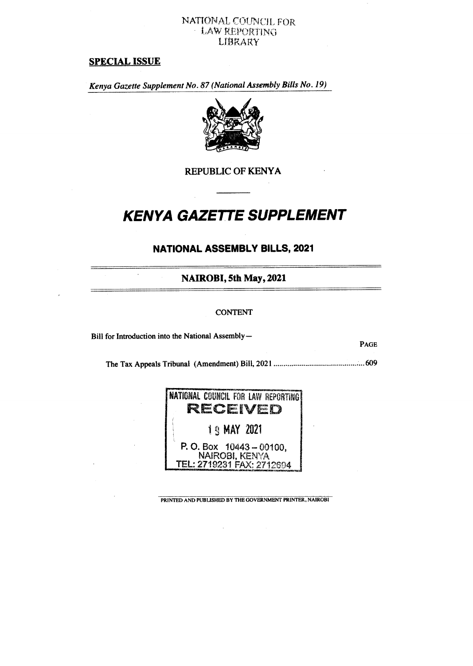## **NATIONAL COUNCIL FOR • LAW REPORTING LIBRARY**

# **SPECIAL ISSUE**

*Kenya Gazette Supplement No. 87 (National Assembly Bills No. 19)* 



**REPUBLIC OF KENYA** 

# **KENYA GAZETTE SUPPLEMENT**

# **NATIONAL ASSEMBLY BILLS, 2021**

**NAIROBI, 5th May, 2021** 

#### CONTENT

Bill for Introduction into the National Assembly—

 $\ddot{\phantom{a}}$ 

**PAGE** 

The Tax Appeals Tribunal (Amendment) Bill, 2021 609

| <b> NATIONAL COUNCIL FOR LAW REPORTING!</b> |
|---------------------------------------------|
| RECEVED                                     |
| <b>19 MAY 2021</b>                          |
| P. O. Box $10443 - 00100$ .                 |
| <b>NAIROBI, KENYA</b>                       |
| TEL: 2719231 FAX: 2712694                   |

PRINTED AND PUBLISHED BY THE GOVERNMENT PRINTER, NAIROBI

 $\Delta \phi$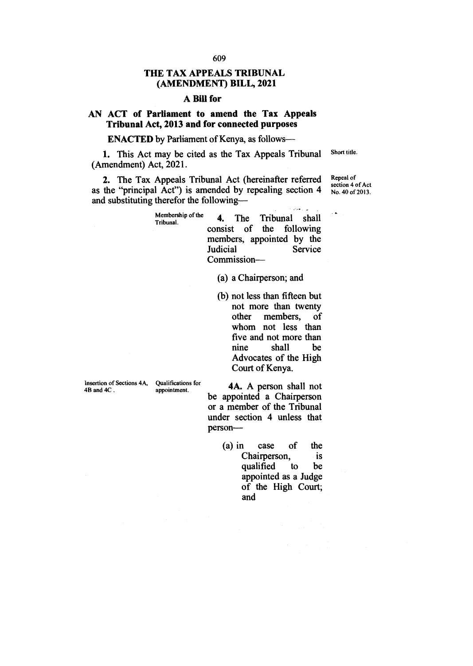## **THE TAX APPEALS TRIBUNAL (AMENDMENT) BILL, 2021**

## **A Bill for**

# **AN ACT of Parliament to amend the Tax Appeals Tribunal Act, 2013 and for connected purposes**

**ENACTED** by Parliament of Kenya, as follows-

1. This Act may be cited as the Tax Appeals Tribunal (Amendment) Act, 2021. Short title.

2. The Tax Appeals Tribunal Act (hereinafter referred as the "principal Act") is amended by repealing section 4 and substituting therefor the following—

Repeal of section 4 of Act No. 40 of 2013.

| Membership of the<br>Tribunal. |                 |  | 4. The Tribunal shall                                 |
|--------------------------------|-----------------|--|-------------------------------------------------------|
|                                |                 |  | consist of the following<br>members, appointed by the |
|                                | <b>Judicial</b> |  | Service                                               |
|                                | Commission-     |  |                                                       |

- (a) a Chairperson; and
- (b) not less than fifteen but not more than twenty<br>other members, of other members, whom not less than five and not more than<br>nine shall be shall Advocates of the High Court of Kenya.

Insertion of Sections 4A, Qualifications for 4B and 4C.

appointment.

**4A.** A person shall not be appointed a Chairperson or a member of the Tribunal under section 4 unless that person—

> (a) in case of the<br>Chairnerson is Chairperson, qualified to be appointed as a Judge of the High Court; and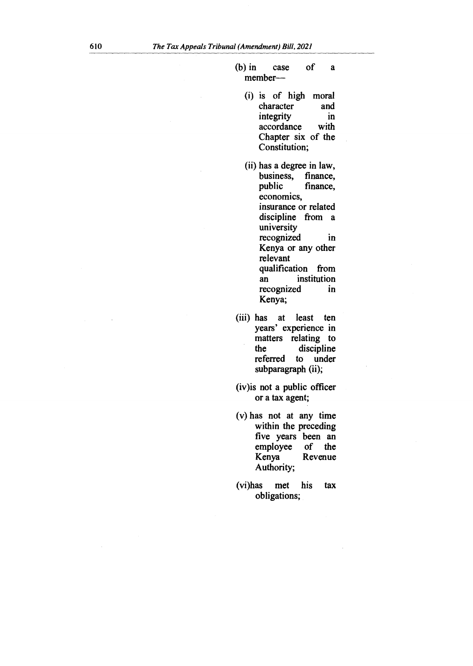- (b) in case of a member—
	- (i) is of high moral character and<br>integrity in integrity accordance with Chapter six of the Constitution;
	- (ii) has a degree in law, business, finance,<br>public finance, finance, economics, insurance or related discipline from a university recognized in Kenya or any other relevant qualification from an institution recognized in Kenya;
- (iii) has at least ten years' experience in matters relating to<br>the discipline discipline<br>to under referred subparagraph (ii);
- (iv)is not a public officer or a tax agent;
- (v) has not at any time within the preceding five years been an employee of the employee<br>Kenya **Revenue** Authority;
- (vi)has met his tax obligations;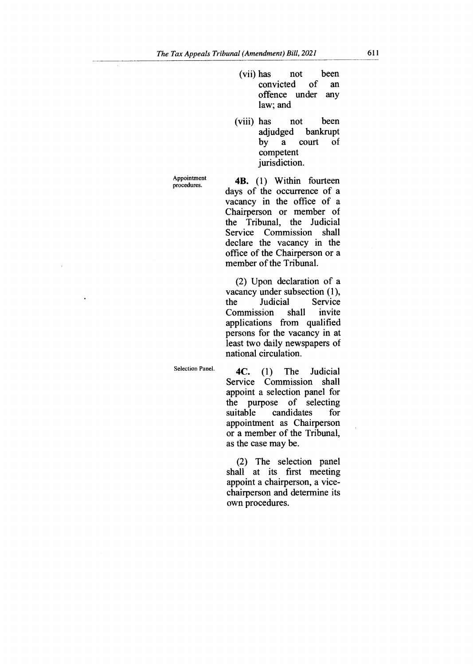- (vii) has not been convicted of an offence under any law; and
- (viii) has not been adjudged bankrupt by a court of competent jurisdiction.

Appointment procedures.

4B. (1) Within fourteen days of the occurrence of a vacancy in the office of a Chairperson or member of the Tribunal, the Judicial Service Commission shall declare the vacancy in the office of the Chairperson or a member of the Tribunal.

(2) Upon declaration of a vacancy under subsection (1), the Judicial Service Commission shall invite applications from qualified persons for the vacancy in at least two daily newspapers of national circulation.

Selection Panel.

**4C. (1)** The Judicial Service Commission shall appoint a selection panel for the purpose of selecting<br>suitable candidates for candidates appointment as Chairperson or a member of the Tribunal, as the case may be.

(2) The selection panel shall at its first meeting appoint a chairperson, a vicechairperson and determine its own procedures.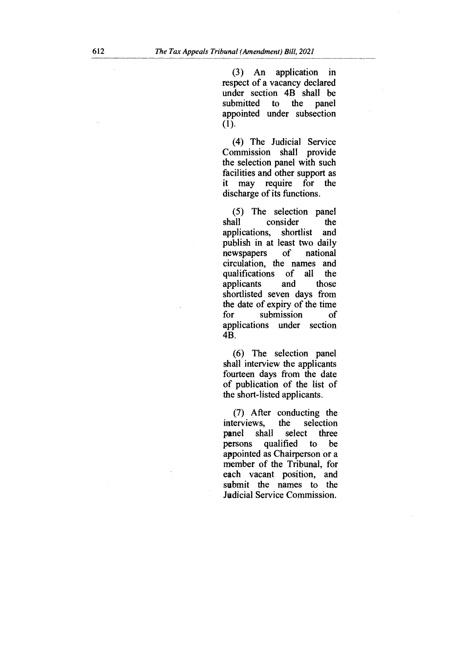(3) An application in respect of a vacancy declared under section 4B shall be submitted to the panel appointed under subsection (1).

(4) The Judicial Service Commission shall provide the selection panel with such facilities and other support as it may require for the discharge of its functions.

(5) The selection panel shall consider the<br>applications, shortlist and shortlist and publish in at least two daily<br>newspapers of national newspapers of national circulation, the names and qualifications of<br>applicants and applicants and those shortlisted seven days from the date of expiry of the time for submission of applications under section 4B.

(6) The selection panel shall interview the applicants fourteen days from the date of publication of the list of the short-listed applicants.

(7) After conducting the interviews, the selection<br>panel shall select three panel shall select three<br>persons qualified to be persons qualified appointed as Chairperson or a member of the Tribunal, for each vacant position, and submit the names to the Judicial Service Commission.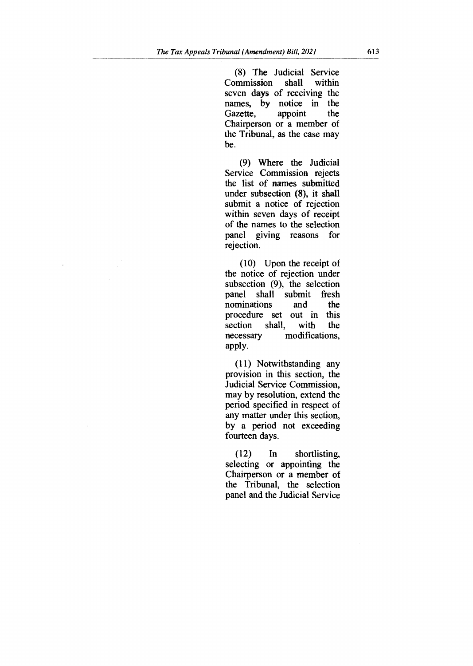(8) The Judicial Service Commission shall within seven days of receiving the names, by notice in the<br>Gazette, appoint the Gazette. Chairperson or a member of the Tribunal, as the case may be.

(9) Where the Judicial Service Commission rejects the list of names submitted under subsection (8), it shall submit a notice of rejection within seven days of receipt of the names to the selection panel giving reasons for rejection.

(10) Upon the receipt of the notice of rejection under subsection (9), the selection panel shall submit fresh<br>nominations and the nominations procedure set out in this<br>section shall, with the shall, necessary modifications, apply.

(11) Notwithstanding any provision in this section, the Judicial Service Commission, may by resolution, extend the period specified in respect of any matter under this section, by a period not exceeding fourteen days.

(12) In shortlisting, selecting or appointing the Chairperson or a member of the Tribunal, the selection panel and the Judicial Service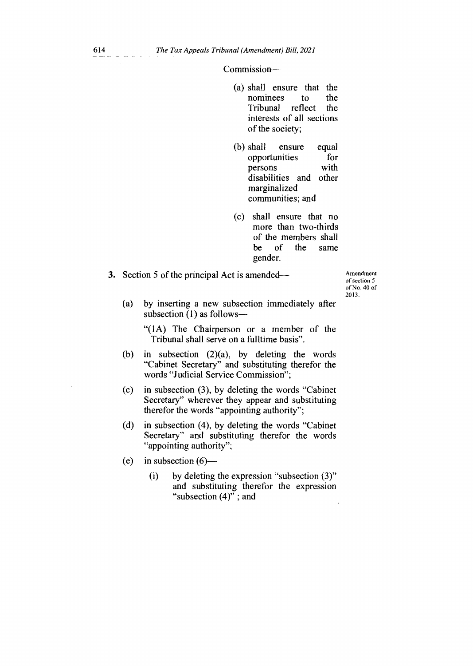Commission—

- (a) shall ensure that the nominees to the<br>Tribunal reflect the reflect interests of all sections of the society;
- (b) shall ensure equal opportunities for persons with disabilities and other marginalized communities; and
- (c) shall ensure that no more than two-thirds of the members shall be of the same gender.

3. Section 5 of the principal Act is amended—

Amendment of section 5 of No. 40 of 2013.

(a) by inserting a new subsection immediately after subsection (1) as follows—

"(1A) The Chairperson or a member of the Tribunal shall serve on a fulltime basis".

- (b) in subsection  $(2)(a)$ , by deleting the words "Cabinet Secretary" and substituting therefor the words "Judicial Service Commission";
- (c) in subsection (3), by deleting the words "Cabinet Secretary" wherever they appear and substituting therefor the words "appointing authority";
- (d) in subsection (4), by deleting the words "Cabinet Secretary" and substituting therefor the words "appointing authority";
- (e) in subsection  $(6)$ 
	- (i) by deleting the expression "subsection (3)" and substituting therefor the expression "subsection  $(4)$ "; and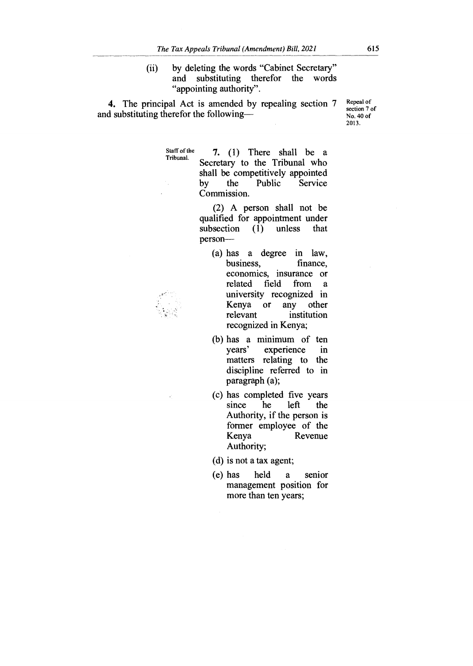(ii) by deleting the words "Cabinet Secretary" and substituting therefor the words "appointing authority".

**4.** The principal Act is amended by repealing section 7 and substituting therefor the followingRepeal of section 7 of No. 40 of 2013.

Staff of the 7. (1) There shall be a Secretary to the Tribunal who shall be competitively appointed by the Public Service Commission.

> (2) A person shall not be qualified for appointment under subsection (1) unless that person—

- (a) has a degree in law,<br>business, finance, business. economics, insurance or<br>related field from a related field from a university recognized in<br>Kenya or any other Kenya<br>relevant institution recognized in Kenya;
- (b) has a minimum of ten<br>years' experience in experience in matters relating to the discipline referred to in paragraph (a);
- (c) has completed five years since he left the Authority, if the person is former employee of the Kenya Revenue Authority;
- (d) is not a tax agent;
- (e) has held a senior management position for more than ten years;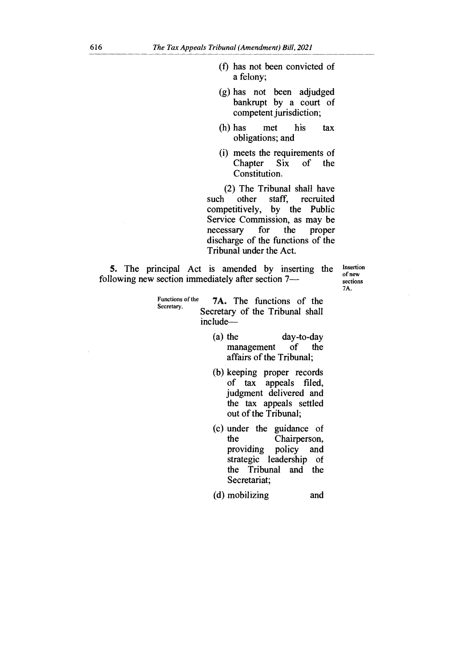- $(f)$  has not been convicted of a felony;
- (g) has not been adjudged bankrupt by a court of competent jurisdiction;
- (h) has met his tax obligations; and
- (i) meets the requirements of<br>Chapter Six of the Chapter Constitution.

(2) The Tribunal shall have such other staff, competitively, by the Public Service Commission, as may be<br>necessary for the proper necessary discharge of the functions of the Tribunal under the Act.

**5.** The principal Act is amended by inserting the following new section immediately after section 7Insertion of new sections 7A.

- Functions of the **7A.** The functions of the Secretary.<br>Secretary of the Tribunal shall include—
	- (a) the day-to-day<br>management of the management affairs of the Tribunal;
	- (b) keeping proper records of tax appeals filed, judgment delivered and the tax appeals settled out of the Tribunal;
	- (c) under the guidance of Chairperson, providing policy and strategic leadership of the Tribunal and the Secretariat;
	- (d) mobilizing and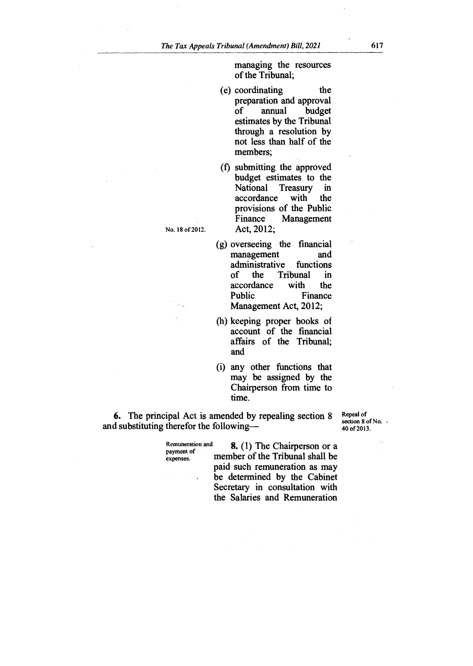managing the resources of the Tribunal;

- (e) coordinating the preparation and approval of annual budget estimates by the Tribunal through a resolution by not less than half of the members;
- (f) submitting the approved budget estimates to the<br>National Treasury in Treasury in<br>with the accordance provisions of the Public<br>Finance Management Management Act, 2012;

No. 18 of 2012.

- (g) overseeing the financial management administrative functions<br>of the Tribunal in Tribunal in<br>with the accordance<br>Public Finance Management Act, 2012;
- (h) keeping proper books of account of the financial affairs of the Tribunal; and
- (i) any other functions that may be assigned by the Chairperson from time to time.

**6.** The principal Act is amended by repealing section 8 and substituting therefor the followingRepeal of section 8 of No. . 40 of 2013.

payment of<br>expenses.

Remuneration and **8.** (1) The Chairperson or a member of the Tribunal shall be paid such remuneration as may be determined by the Cabinet Secretary in consultation with the Salaries and Remuneration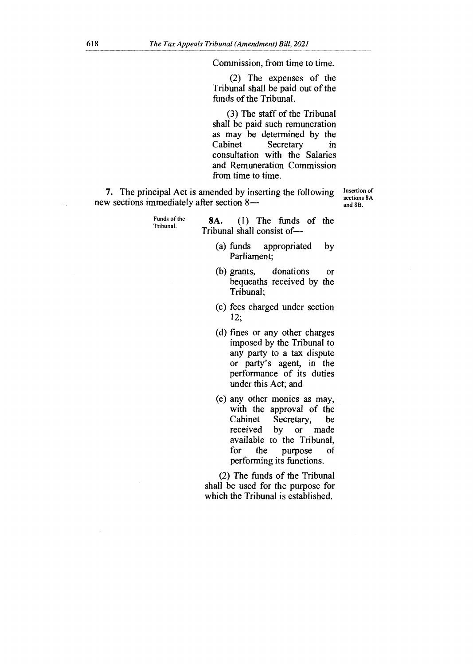Commission, from time to time.

(2) The expenses of the Tribunal shall be paid out of the funds of the Tribunal.

(3) The staff of the Tribunal shall be paid such remuneration as may be determined by the<br>Cabinet Secretary in Secretary in consultation with the Salaries and Remuneration Commission from time to time.

**7.** The principal Act is amended by inserting the following new sections immediately after section 8—

Insertion of sections 8A and 8B.

Funds of the Tribunal. **8A.** (1) The funds of the Tribunal shall consist of—

- (a) funds appropriated by Parliament;
- (b) grants, donations or bequeaths received by the Tribunal;
- (c) fees charged under section 12;
- (d) fines or any other charges imposed by the Tribunal to any party to a tax dispute or party's agent, in the performance of its duties under this Act; and
- (e) any other monies as may, with the approval of the<br>Cabinet Secretary, be Cabinet Secretary, be<br>received by or made or made available to the Tribunal, purpose of performing its functions.

(2) The funds of the Tribunal shall be used for the purpose for which the Tribunal is established.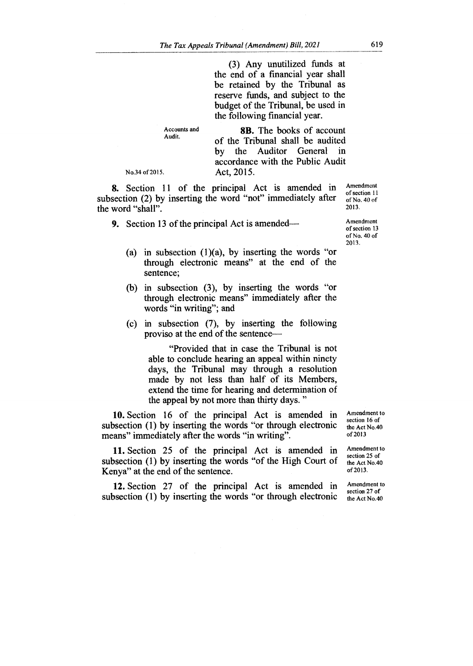(3) Any unutilized funds at the end of a financial year shall be retained by the Tribunal as reserve funds, and subject to the budget of the Tribunal, be used in the following financial year.

Accounts and Audit.

**8B.** The books of account of the Tribunal shall be audited by the Auditor General in accordance with the Public Audit Act, 2015.

No.34 of 2015.

**8.** Section 11 of the principal Act is amended in subsection (2) by inserting the word "not" immediately after the word "shall".

**9.** Section 13 of the principal Act is amended—

- (a) in subsection  $(1)(a)$ , by inserting the words "or through electronic means" at the end of the sentence;
- (b) in subsection (3), by inserting the words "or through electronic means" immediately after the words "in writing"; and
- (c) in subsection (7), by inserting the following proviso at the end of the sentence—

"Provided that in case the Tribunal is not able to conclude hearing an appeal within ninety days, the Tribunal may through a resolution made by not less than half of its Members, extend the time for hearing and determination of the appeal by not more than thirty days. "

**10.** Section 16 of the principal Act is amended in subsection (1) by inserting the words "or through electronic means" immediately after the words "in writing".

**11.** Section 25 of the principal Act is amended in subsection (1) by inserting the words "of the High Court of Kenya" at the end of the sentence.

**12.** Section 27 of the principal Act is amended in subsection (1) by inserting the words "or through electronic

Amendment to section 16 of the Act No.40 of 2013

Amendment to section 25 of the Act No.40 of 2013.

Amendment to section 27 of the Act No.40

Amendment of section 11 of No. 40 of 2013.

Amendment of section 13 of No. 40 of 2013.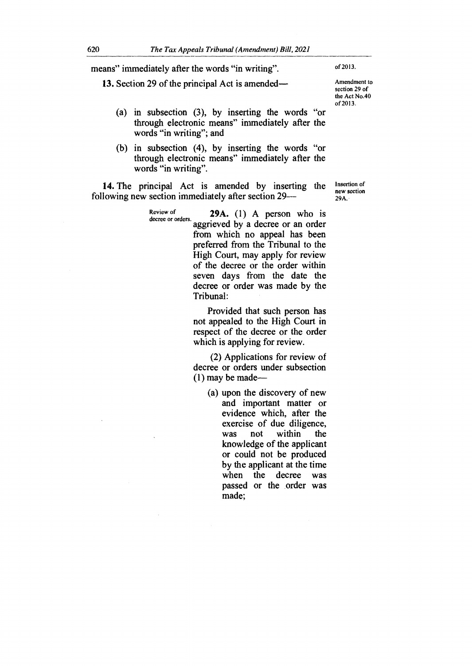means" immediately after the words "in writing".

**13.** Section 29 of the principal Act is amended—

Amendment to section 29 of

the Act No.40 of 2013.

of 2013.

- (a) in subsection (3), by inserting the words "or through electronic means" immediately after the words "in writing"; and
- (b) in subsection (4), by inserting the words "or through electronic means" immediately after the words "in writing".

**14.** The principal Act is amended by inserting the following new section immediately after section 29—

> Review of **29A.** (1) A person who is decree or orders. aggrieved by a decree or an order from which no appeal has been preferred from the Tribunal to the High Court, may apply for review of the decree or the order within seven days from the date the decree or order was made by the Tribunal:

> > Provided that such person has not appealed to the High Court in respect of the decree or the order which is applying for review.

> > (2) Applications for review of decree or orders under subsection (1) may be made—

> > > (a) upon the discovery of new and important matter or evidence which, after the exercise of due diligence, was not within the knowledge of the applicant or could not be produced by the applicant at the time when the decree was passed or the order was made;

Insertion of new section 29A.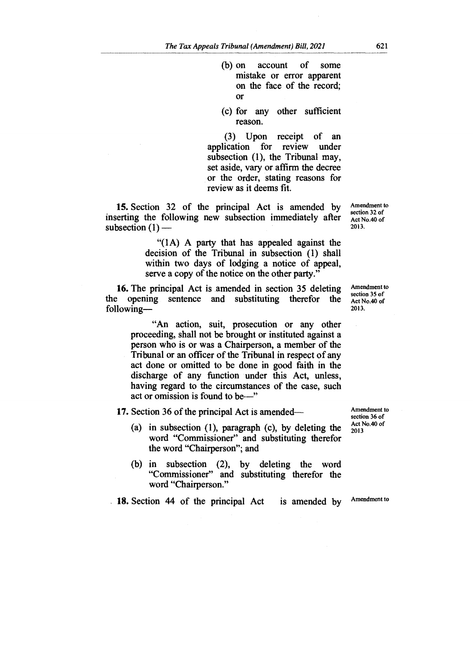- (b) on account of some mistake or error apparent on the face of the record; or
- (c) for any other sufficient reason.

(3) Upon receipt of an application for review under subsection (1), the Tribunal may, set aside, vary or affirm the decree or the order, stating reasons for review as it deems fit.

15. Section 32 of the principal Act is amended by inserting the following new subsection immediately after subsection  $(1)$  —

> "(1A) A party that has appealed against the decision of the Tribunal in subsection (1) shall within two days of lodging a notice of appeal, serve a copy of the notice on the other party."

16. The principal Act is amended in section 35 deleting<br>the opening sentence and substituting therefor the opening sentence and substituting therefor following—

> "An action, suit, prosecution or any other proceeding, shall not be brought or instituted against a person who is or was a Chairperson, a member of the Tribunal or an officer of the Tribunal in respect of any act done or omitted to be done in good faith in the discharge of any function under this Act, unless, having regard to the circumstances of the case, such act or omission is found to be—"

17. Section 36 of the principal Act is amended—

- (a) in subsection (1), paragraph (c), by deleting the word "Commissioner" and substituting therefor the word "Chairperson"; and
- (b) in subsection (2), by deleting the word "Commissioner" and substituting therefor the word "Chairperson."

 $18.$  Section 44 of the principal Act is amended by Amendment to

Amendment to section 35 of Act No.40 of 2013.

Amendment to section 32 of Act No.40 of 2013.

Amendment to section 36 of Act No.40 of 2013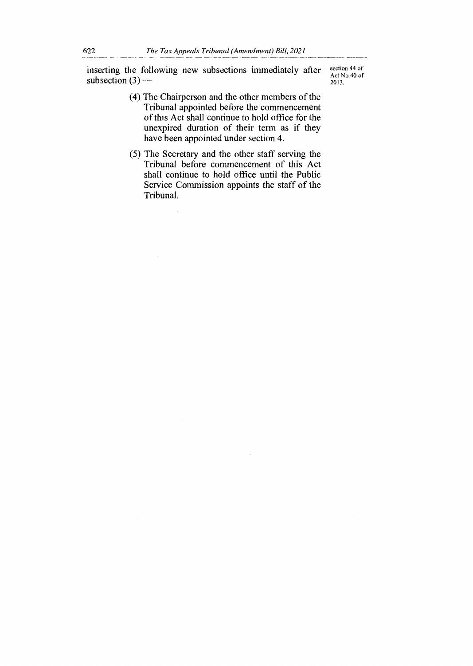inserting the following new subsections immediately after subsection  $(3)$  —

section 44 of Act No.40 of 2013.

- (4) The Chairperson and the other members of the Tribunal appointed before the commencement of this Act shall continue to hold office for the unexpired duration of their term as if they have been appointed under section 4.
- (5) The Secretary and the other staff serving the Tribunal before commencement of this Act shall continue to hold office until the Public Service Commission appoints the staff of the Tribunal.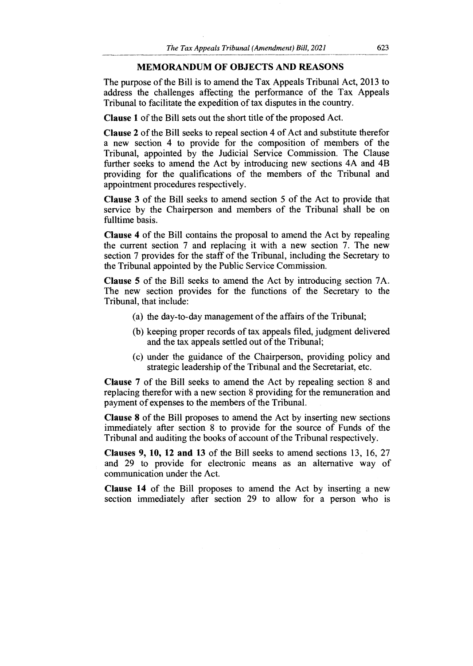# **MEMORANDUM OF OBJECTS AND REASONS**

The purpose of the Bill is to amend the Tax Appeals Tribunal Act, 2013 to address the challenges affecting the performance of the Tax Appeals Tribunal to facilitate the expedition of tax disputes in the country.

**Clause 1** of the Bill sets out the short title of the proposed Act.

**Clause 2** of the Bill seeks to repeal section 4 of Act and substitute therefor a new section 4 to provide for the composition of members of the Tribunal, appointed by the Judicial Service Commission. The Clause further seeks to amend the Act by introducing new sections 4A and 4B providing for the qualifications of the members of the Tribunal and appointment procedures respectively.

**Clause 3** of the Bill seeks to amend section 5 of the Act to provide that service by the Chairperson and members of the Tribunal shall be on fulltime basis.

**Clause 4** of the Bill contains the proposal to amend the Act by repealing the current section 7 and replacing it with a new section 7. The new section 7 provides for the staff of the Tribunal, including the Secretary to the Tribunal appointed by the Public Service Commission.

**Clause 5** of the Bill seeks to amend the Act by introducing section 7A. The new section provides for the functions of the Secretary to the Tribunal, that include:

- (a) the day-to-day management of the affairs of the Tribunal;
- (b) keeping proper records of tax appeals filed, judgment delivered and the tax appeals settled out of the Tribunal;
- (c) under the guidance of the Chairperson, providing policy and strategic leadership of the Tribunal and the Secretariat, etc.

**Clause 7** of the Bill seeks to amend the Act by repealing section 8 and replacing therefor with a new section 8 providing for the remuneration and payment of expenses to the members of the Tribunal.

**Clause 8** of the Bill proposes to amend the Act by inserting new sections immediately after section 8 to provide for the source of Funds of the Tribunal and auditing the books of account of the Tribunal respectively.

**Clauses 9, 10, 12 and 13** of the Bill seeks to amend sections 13, 16, 27 and 29 to provide for electronic means as an alternative way of communication under the Act.

**Clause 14** of the Bill proposes to amend the Act by inserting a new section immediately after section 29 to allow for a person who is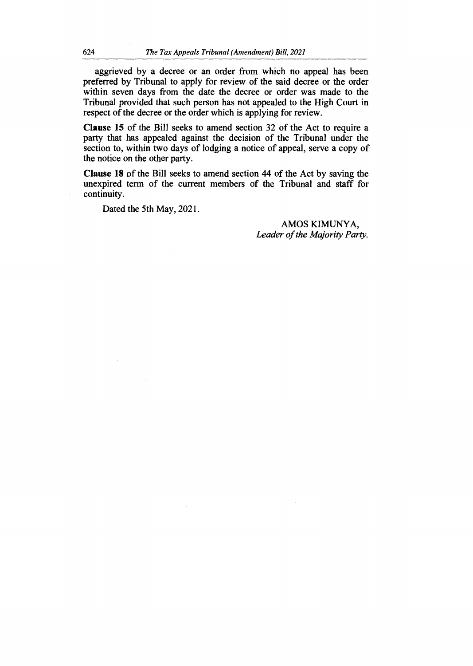aggrieved by a decree or an order from which no appeal has been preferred by Tribunal to apply for review of the said decree or the order within seven days from the date the decree or order was made to the Tribunal provided that such person has not appealed to the High Court in respect of the decree or the order which is applying for review.

**Clause 15 of** the Bill seeks to amend section 32 of the Act to require a party that has appealed against the decision of the Tribunal under the section to, within two days of lodging a notice of appeal, serve a copy of the notice on the other party.

**Clause 18 of** the Bill seeks to amend section 44 of the Act by saving the unexpired term of the current members of the Tribunal and staff for continuity.

Dated the 5th May, 2021.

AMOS KIMUNYA, *Leader of the Majority Party.*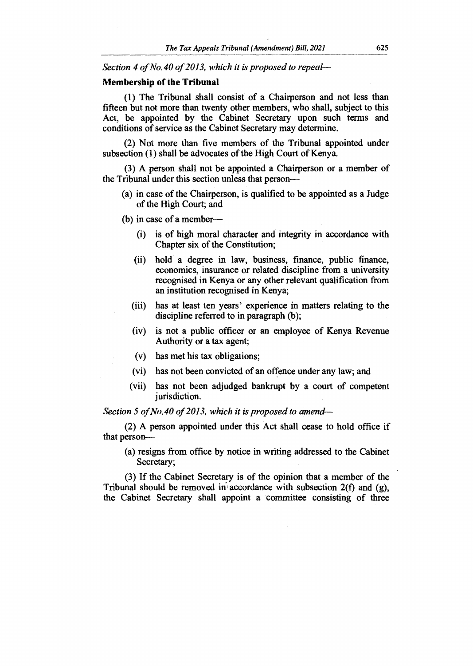*Section 4 of No.40 of 2013, which it is proposed to repeal—*

#### **Membership of the Tribunal**

(1) The Tribunal shall consist of a Chairperson and not less than fifteen but not more than twenty other members, who shall, subject to this Act, be appointed by the Cabinet Secretary upon such terms and conditions of service as the Cabinet Secretary may determine.

(2) Not more than five members of the Tribunal appointed under subsection (1) shall be advocates of the High Court of Kenya.

(3) A person shall not be appointed a Chairperson or a member of the Tribunal under this section unless that person—

- (a) in case of the Chairperson, is qualified to be appointed as a Judge of the High Court; and
- (b) in case of a member—
	- (i) is of high moral character and integrity in accordance with Chapter six of the Constitution;
	- (ii) hold a degree in law, business, finance, public finance, economics, insurance or related discipline from a university recognised in Kenya or any other relevant qualification from an institution recognised in Kenya;
	- (iii) has at least ten years' experience in matters relating to the discipline referred to in paragraph (b);
	- (iv) is not a public officer or an employee of Kenya Revenue Authority or a tax agent;
	- (v) has met his tax obligations;
	- (vi) has not been convicted of an offence under any law; and
	- (vii) has not been adjudged bankrupt by a court of competent jurisdiction.

*Section 5 of No.40 of 2013, which it is proposed to amend—* 

(2) A person appointed under this Act shall cease to hold office if that person—

(a) resigns from office by notice in writing addressed to the Cabinet Secretary;

(3) If the Cabinet Secretary is of the opinion that a member of the Tribunal should be removed in accordance with subsection  $2(f)$  and  $(g)$ , the Cabinet Secretary shall appoint a committee consisting of three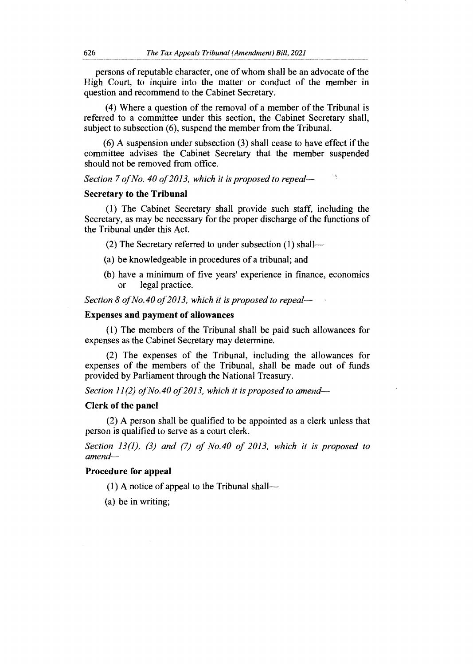persons of reputable character, one of whom shall be an advocate of the High Court, to inquire into the matter or conduct of the member in question and recommend to the Cabinet Secretary.

(4) Where a question of the removal of a member of the Tribunal is referred to a committee under this section, the Cabinet Secretary shall, subject to subsection (6), suspend the member from the Tribunal.

(6) A suspension under subsection (3) shall cease to have effect if the committee advises the Cabinet Secretary that the member suspended should not be removed from office.

*Section 7 of No. 40 of 2013, which it is proposed to repeal—*

#### **Secretary to the Tribunal**

(1) The Cabinet Secretary shall provide such staff, including the Secretary, as may be necessary for the proper discharge of the functions of the Tribunal under this Act.

(2) The Secretary referred to under subsection  $(1)$  shall---

- (a) be knowledgeable in procedures of a tribunal; and
- (b) have a minimum of five years' experience in finance, economics or legal practice.

*Section 8 of No.40 of 2013, which it is proposed to repeal—*

#### **Expenses and payment of allowances**

(1) The members of the Tribunal shall be paid such allowances for expenses as the Cabinet Secretary may determine.

(2) The expenses of the Tribunal, including the allowances for expenses of the members of the Tribunal, shall be made out of funds provided by Parliament through the National Treasury.

*Section 11(2) of No.40 of 2013, which it is proposed to amend—*

#### **Clerk of the panel**

(2) A person shall be qualified to be appointed as a clerk unless that person is qualified to serve as a court clerk.

*Section 13(1), (3) and (7) of No.40 of 2013, which it is proposed to amend—* 

#### **Procedure for appeal**

(1) A notice of appeal to the Tribunal shall—

(a) be in writing;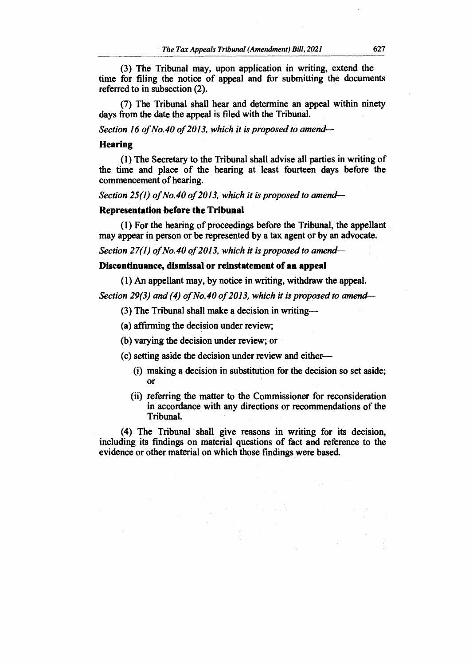**(3) The Tribunal may, upon application in writing, extend the time for filing the notice of appeal and for submitting the documents referred to in subsection (2).** 

**(7) The Tribunal shall hear and determine an appeal within ninety days from the date the appeal is filed with the Tribunal.** 

*Section 16 of No.40 of 2013, which it is proposed to amend—*

#### **Hearing**

**(1) The Secretary to the Tribunal shall advise all parties in writing of the time and place of the hearing at least fourteen days before the commencement of hearing.** 

*Section 25(1) of No.40 of 2013, which it is proposed to amend—*

#### **Representation before the Tribunal**

**(1) For the hearing of proceedings before the Tribunal, the appellant may appear in person or be represented by a tax agent or by an advocate.** 

*Section 27(1) of No.40 of 2013, which it is proposed to amend—*

## **Discontinuance, dismissal or reinstatement of an appeal**

**(1) An appellant may, by notice in writing, withdraw the appeal.** 

*Section 29(3) and (4) of No.40 of 2013, which it is proposed to amend—* 

**(3) The Tribunal shall make a decision in writing—** 

**(a) affirming the decision under review;** 

**(b) varying the decision under review; or** 

**(c) setting aside the decision under review and either—** 

- **(i) making a decision in substitution for the decision so set aside; or**
- **(ii) referring the matter to the Commissioner for reconsideration in accordance with any directions or recommendations of the Tribunal.**

**(4) The Tribunal shall give reasons in writing for its decision, including its findings on material questions of fact and reference to the evidence or other material on which those findings were based.**